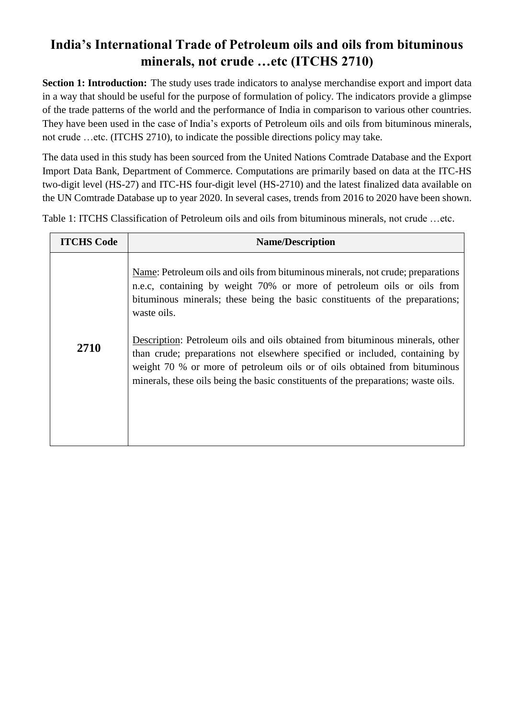# **India's International Trade of Petroleum oils and oils from bituminous minerals, not crude …etc (ITCHS 2710)**

**Section 1: Introduction:** The study uses trade indicators to analyse merchandise export and import data in a way that should be useful for the purpose of formulation of policy. The indicators provide a glimpse of the trade patterns of the world and the performance of India in comparison to various other countries. They have been used in the case of India's exports of Petroleum oils and oils from bituminous minerals, not crude …etc. (ITCHS 2710), to indicate the possible directions policy may take.

The data used in this study has been sourced from the United Nations Comtrade Database and the Export Import Data Bank, Department of Commerce. Computations are primarily based on data at the ITC-HS two-digit level (HS-27) and ITC-HS four-digit level (HS-2710) and the latest finalized data available on the UN Comtrade Database up to year 2020. In several cases, trends from 2016 to 2020 have been shown.

Table 1: ITCHS Classification of Petroleum oils and oils from bituminous minerals, not crude …etc.

| <b>ITCHS Code</b> | <b>Name/Description</b>                                                                                                                                                                                                                                                                                                         |
|-------------------|---------------------------------------------------------------------------------------------------------------------------------------------------------------------------------------------------------------------------------------------------------------------------------------------------------------------------------|
|                   | Name: Petroleum oils and oils from bituminous minerals, not crude; preparations<br>n.e.c, containing by weight 70% or more of petroleum oils or oils from<br>bituminous minerals; these being the basic constituents of the preparations;<br>waste oils.                                                                        |
| 2710              | Description: Petroleum oils and oils obtained from bituminous minerals, other<br>than crude; preparations not elsewhere specified or included, containing by<br>weight 70 % or more of petroleum oils or of oils obtained from bituminous<br>minerals, these oils being the basic constituents of the preparations; waste oils. |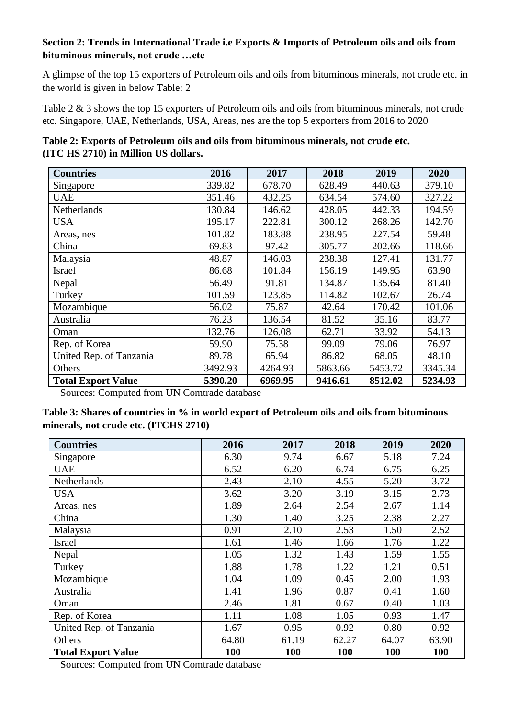#### **Section 2: Trends in International Trade i.e Exports & Imports of Petroleum oils and oils from bituminous minerals, not crude …etc**

A glimpse of the top 15 exporters of Petroleum oils and oils from bituminous minerals, not crude etc. in the world is given in below Table: 2

Table 2 & 3 shows the top 15 exporters of Petroleum oils and oils from bituminous minerals, not crude etc. Singapore, UAE, Netherlands, USA, Areas, nes are the top 5 exporters from 2016 to 2020

| Table 2: Exports of Petroleum oils and oils from bituminous minerals, not crude etc. |  |
|--------------------------------------------------------------------------------------|--|
| (ITC HS 2710) in Million US dollars.                                                 |  |

| <b>Countries</b>          | 2016    | 2017    | 2018    | 2019    | 2020    |
|---------------------------|---------|---------|---------|---------|---------|
| Singapore                 | 339.82  | 678.70  | 628.49  | 440.63  | 379.10  |
| <b>UAE</b>                | 351.46  | 432.25  | 634.54  | 574.60  | 327.22  |
| Netherlands               | 130.84  | 146.62  | 428.05  | 442.33  | 194.59  |
| <b>USA</b>                | 195.17  | 222.81  | 300.12  | 268.26  | 142.70  |
| Areas, nes                | 101.82  | 183.88  | 238.95  | 227.54  | 59.48   |
| China                     | 69.83   | 97.42   | 305.77  | 202.66  | 118.66  |
| Malaysia                  | 48.87   | 146.03  | 238.38  | 127.41  | 131.77  |
| Israel                    | 86.68   | 101.84  | 156.19  | 149.95  | 63.90   |
| Nepal                     | 56.49   | 91.81   | 134.87  | 135.64  | 81.40   |
| Turkey                    | 101.59  | 123.85  | 114.82  | 102.67  | 26.74   |
| Mozambique                | 56.02   | 75.87   | 42.64   | 170.42  | 101.06  |
| Australia                 | 76.23   | 136.54  | 81.52   | 35.16   | 83.77   |
| Oman                      | 132.76  | 126.08  | 62.71   | 33.92   | 54.13   |
| Rep. of Korea             | 59.90   | 75.38   | 99.09   | 79.06   | 76.97   |
| United Rep. of Tanzania   | 89.78   | 65.94   | 86.82   | 68.05   | 48.10   |
| Others                    | 3492.93 | 4264.93 | 5863.66 | 5453.72 | 3345.34 |
| <b>Total Export Value</b> | 5390.20 | 6969.95 | 9416.61 | 8512.02 | 5234.93 |

Sources: Computed from UN Comtrade database

| Table 3: Shares of countries in % in world export of Petroleum oils and oils from bituminous |
|----------------------------------------------------------------------------------------------|
| minerals, not crude etc. (ITCHS 2710)                                                        |

| <b>Countries</b>          | 2016  | 2017  | 2018       | 2019       | 2020       |
|---------------------------|-------|-------|------------|------------|------------|
| Singapore                 | 6.30  | 9.74  | 6.67       | 5.18       | 7.24       |
| <b>UAE</b>                | 6.52  | 6.20  | 6.74       | 6.75       | 6.25       |
| Netherlands               | 2.43  | 2.10  | 4.55       | 5.20       | 3.72       |
| <b>USA</b>                | 3.62  | 3.20  | 3.19       | 3.15       | 2.73       |
| Areas, nes                | 1.89  | 2.64  | 2.54       | 2.67       | 1.14       |
| China                     | 1.30  | 1.40  | 3.25       | 2.38       | 2.27       |
| Malaysia                  | 0.91  | 2.10  | 2.53       | 1.50       | 2.52       |
| Israel                    | 1.61  | 1.46  | 1.66       | 1.76       | 1.22       |
| Nepal                     | 1.05  | 1.32  | 1.43       | 1.59       | 1.55       |
| Turkey                    | 1.88  | 1.78  | 1.22       | 1.21       | 0.51       |
| Mozambique                | 1.04  | 1.09  | 0.45       | 2.00       | 1.93       |
| Australia                 | 1.41  | 1.96  | 0.87       | 0.41       | 1.60       |
| Oman                      | 2.46  | 1.81  | 0.67       | 0.40       | 1.03       |
| Rep. of Korea             | 1.11  | 1.08  | 1.05       | 0.93       | 1.47       |
| United Rep. of Tanzania   | 1.67  | 0.95  | 0.92       | 0.80       | 0.92       |
| Others                    | 64.80 | 61.19 | 62.27      | 64.07      | 63.90      |
| <b>Total Export Value</b> | 100   | 100   | <b>100</b> | <b>100</b> | <b>100</b> |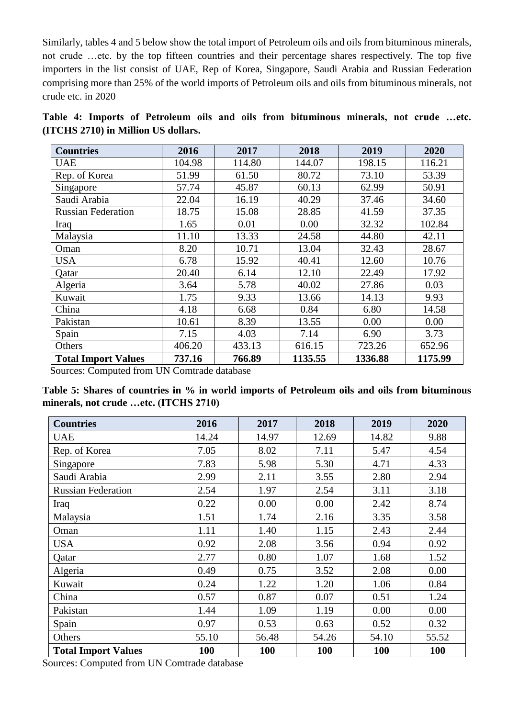Similarly, tables 4 and 5 below show the total import of Petroleum oils and oils from bituminous minerals, not crude …etc. by the top fifteen countries and their percentage shares respectively. The top five importers in the list consist of UAE, Rep of Korea, Singapore, Saudi Arabia and Russian Federation comprising more than 25% of the world imports of Petroleum oils and oils from bituminous minerals, not crude etc. in 2020

|  |  |                                     |  |  | Table 4: Imports of Petroleum oils and oils from bituminous minerals, not crude etc. |  |  |
|--|--|-------------------------------------|--|--|--------------------------------------------------------------------------------------|--|--|
|  |  | (ITCHS 2710) in Million US dollars. |  |  |                                                                                      |  |  |

| <b>Countries</b>           | 2016   | 2017   | 2018    | 2019    | 2020    |
|----------------------------|--------|--------|---------|---------|---------|
| <b>UAE</b>                 | 104.98 | 114.80 | 144.07  | 198.15  | 116.21  |
| Rep. of Korea              | 51.99  | 61.50  | 80.72   | 73.10   | 53.39   |
| Singapore                  | 57.74  | 45.87  | 60.13   | 62.99   | 50.91   |
| Saudi Arabia               | 22.04  | 16.19  | 40.29   | 37.46   | 34.60   |
| <b>Russian Federation</b>  | 18.75  | 15.08  | 28.85   | 41.59   | 37.35   |
| Iraq                       | 1.65   | 0.01   | 0.00    | 32.32   | 102.84  |
| Malaysia                   | 11.10  | 13.33  | 24.58   | 44.80   | 42.11   |
| Oman                       | 8.20   | 10.71  | 13.04   | 32.43   | 28.67   |
| <b>USA</b>                 | 6.78   | 15.92  | 40.41   | 12.60   | 10.76   |
| Qatar                      | 20.40  | 6.14   | 12.10   | 22.49   | 17.92   |
| Algeria                    | 3.64   | 5.78   | 40.02   | 27.86   | 0.03    |
| Kuwait                     | 1.75   | 9.33   | 13.66   | 14.13   | 9.93    |
| China                      | 4.18   | 6.68   | 0.84    | 6.80    | 14.58   |
| Pakistan                   | 10.61  | 8.39   | 13.55   | 0.00    | 0.00    |
| Spain                      | 7.15   | 4.03   | 7.14    | 6.90    | 3.73    |
| Others                     | 406.20 | 433.13 | 616.15  | 723.26  | 652.96  |
| <b>Total Import Values</b> | 737.16 | 766.89 | 1135.55 | 1336.88 | 1175.99 |

Sources: Computed from UN Comtrade database

**Table 5: Shares of countries in % in world imports of Petroleum oils and oils from bituminous minerals, not crude …etc. (ITCHS 2710)**

| <b>Countries</b>           | 2016  | 2017       | 2018  | 2019  | 2020  |
|----------------------------|-------|------------|-------|-------|-------|
| <b>UAE</b>                 | 14.24 | 14.97      | 12.69 | 14.82 | 9.88  |
| Rep. of Korea              | 7.05  | 8.02       | 7.11  | 5.47  | 4.54  |
| Singapore                  | 7.83  | 5.98       | 5.30  | 4.71  | 4.33  |
| Saudi Arabia               | 2.99  | 2.11       | 3.55  | 2.80  | 2.94  |
| <b>Russian Federation</b>  | 2.54  | 1.97       | 2.54  | 3.11  | 3.18  |
| Iraq                       | 0.22  | 0.00       | 0.00  | 2.42  | 8.74  |
| Malaysia                   | 1.51  | 1.74       | 2.16  | 3.35  | 3.58  |
| Oman                       | 1.11  | 1.40       | 1.15  | 2.43  | 2.44  |
| <b>USA</b>                 | 0.92  | 2.08       | 3.56  | 0.94  | 0.92  |
| Qatar                      | 2.77  | 0.80       | 1.07  | 1.68  | 1.52  |
| Algeria                    | 0.49  | 0.75       | 3.52  | 2.08  | 0.00  |
| Kuwait                     | 0.24  | 1.22       | 1.20  | 1.06  | 0.84  |
| China                      | 0.57  | 0.87       | 0.07  | 0.51  | 1.24  |
| Pakistan                   | 1.44  | 1.09       | 1.19  | 0.00  | 0.00  |
| Spain                      | 0.97  | 0.53       | 0.63  | 0.52  | 0.32  |
| Others                     | 55.10 | 56.48      | 54.26 | 54.10 | 55.52 |
| <b>Total Import Values</b> | 100   | <b>100</b> | 100   | 100   | 100   |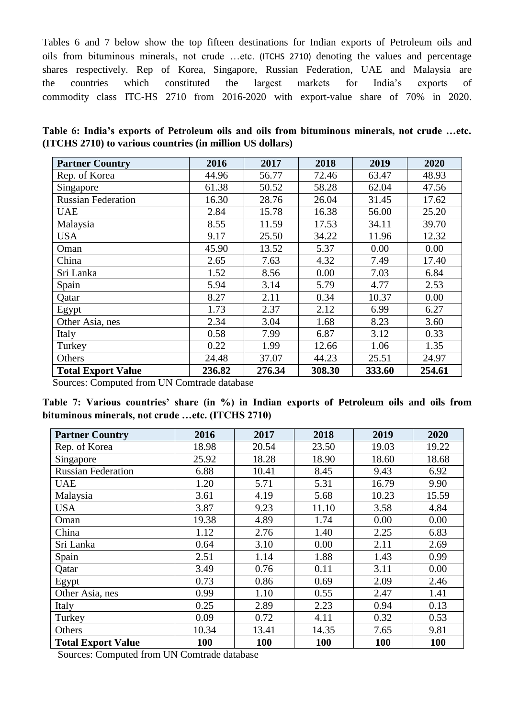Tables 6 and 7 below show the top fifteen destinations for Indian exports of Petroleum oils and oils from bituminous minerals, not crude …etc. (ITCHS 2710) denoting the values and percentage shares respectively. Rep of Korea, Singapore, Russian Federation, UAE and Malaysia are the countries which constituted the largest markets for India's exports of commodity class ITC-HS 2710 from 2016-2020 with export-value share of 70% in 2020.

|  |                                                           |  | Table 6: India's exports of Petroleum oils and oils from bituminous minerals, not crude etc. |  |  |
|--|-----------------------------------------------------------|--|----------------------------------------------------------------------------------------------|--|--|
|  | (ITCHS 2710) to various countries (in million US dollars) |  |                                                                                              |  |  |

| <b>Partner Country</b>    | 2016   | 2017   | 2018   | 2019   | 2020   |
|---------------------------|--------|--------|--------|--------|--------|
| Rep. of Korea             | 44.96  | 56.77  | 72.46  | 63.47  | 48.93  |
| Singapore                 | 61.38  | 50.52  | 58.28  | 62.04  | 47.56  |
| <b>Russian Federation</b> | 16.30  | 28.76  | 26.04  | 31.45  | 17.62  |
| <b>UAE</b>                | 2.84   | 15.78  | 16.38  | 56.00  | 25.20  |
| Malaysia                  | 8.55   | 11.59  | 17.53  | 34.11  | 39.70  |
| <b>USA</b>                | 9.17   | 25.50  | 34.22  | 11.96  | 12.32  |
| Oman                      | 45.90  | 13.52  | 5.37   | 0.00   | 0.00   |
| China                     | 2.65   | 7.63   | 4.32   | 7.49   | 17.40  |
| Sri Lanka                 | 1.52   | 8.56   | 0.00   | 7.03   | 6.84   |
| Spain                     | 5.94   | 3.14   | 5.79   | 4.77   | 2.53   |
| Qatar                     | 8.27   | 2.11   | 0.34   | 10.37  | 0.00   |
| Egypt                     | 1.73   | 2.37   | 2.12   | 6.99   | 6.27   |
| Other Asia, nes           | 2.34   | 3.04   | 1.68   | 8.23   | 3.60   |
| Italy                     | 0.58   | 7.99   | 6.87   | 3.12   | 0.33   |
| Turkey                    | 0.22   | 1.99   | 12.66  | 1.06   | 1.35   |
| Others                    | 24.48  | 37.07  | 44.23  | 25.51  | 24.97  |
| <b>Total Export Value</b> | 236.82 | 276.34 | 308.30 | 333.60 | 254.61 |

Sources: Computed from UN Comtrade database

|  |                                                  |  |  |  | Table 7: Various countries' share (in %) in Indian exports of Petroleum oils and oils from |  |  |
|--|--------------------------------------------------|--|--|--|--------------------------------------------------------------------------------------------|--|--|
|  | bituminous minerals, not crude etc. (ITCHS 2710) |  |  |  |                                                                                            |  |  |

| <b>Partner Country</b>    | 2016  | 2017  | 2018  | 2019  | 2020  |
|---------------------------|-------|-------|-------|-------|-------|
| Rep. of Korea             | 18.98 | 20.54 | 23.50 | 19.03 | 19.22 |
| Singapore                 | 25.92 | 18.28 | 18.90 | 18.60 | 18.68 |
| <b>Russian Federation</b> | 6.88  | 10.41 | 8.45  | 9.43  | 6.92  |
| <b>UAE</b>                | 1.20  | 5.71  | 5.31  | 16.79 | 9.90  |
| Malaysia                  | 3.61  | 4.19  | 5.68  | 10.23 | 15.59 |
| <b>USA</b>                | 3.87  | 9.23  | 11.10 | 3.58  | 4.84  |
| Oman                      | 19.38 | 4.89  | 1.74  | 0.00  | 0.00  |
| China                     | 1.12  | 2.76  | 1.40  | 2.25  | 6.83  |
| Sri Lanka                 | 0.64  | 3.10  | 0.00  | 2.11  | 2.69  |
| Spain                     | 2.51  | 1.14  | 1.88  | 1.43  | 0.99  |
| Qatar                     | 3.49  | 0.76  | 0.11  | 3.11  | 0.00  |
| Egypt                     | 0.73  | 0.86  | 0.69  | 2.09  | 2.46  |
| Other Asia, nes           | 0.99  | 1.10  | 0.55  | 2.47  | 1.41  |
| Italy                     | 0.25  | 2.89  | 2.23  | 0.94  | 0.13  |
| Turkey                    | 0.09  | 0.72  | 4.11  | 0.32  | 0.53  |
| Others                    | 10.34 | 13.41 | 14.35 | 7.65  | 9.81  |
| <b>Total Export Value</b> | 100   | 100   | 100   | 100   | 100   |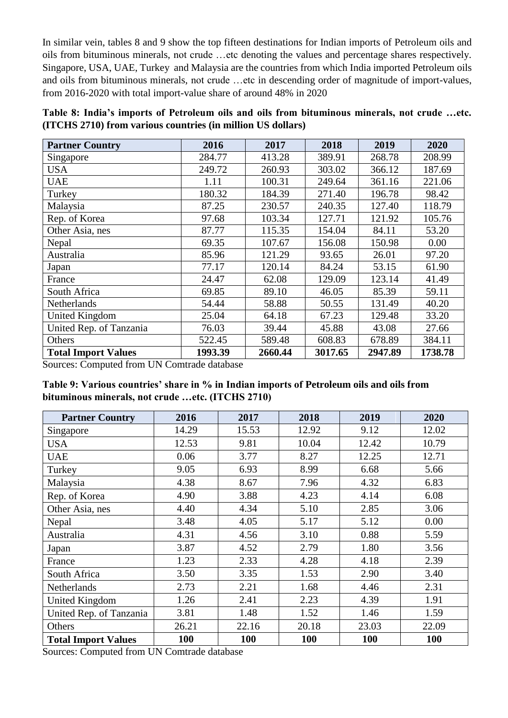In similar vein, tables 8 and 9 show the top fifteen destinations for Indian imports of Petroleum oils and oils from bituminous minerals, not crude …etc denoting the values and percentage shares respectively. Singapore, USA, UAE, Turkey and Malaysia are the countries from which India imported Petroleum oils and oils from bituminous minerals, not crude …etc in descending order of magnitude of import-values, from 2016-2020 with total import-value share of around 48% in 2020

| Table 8: India's imports of Petroleum oils and oils from bituminous minerals, not crude etc. |  |  |  |  |
|----------------------------------------------------------------------------------------------|--|--|--|--|
| (ITCHS 2710) from various countries (in million US dollars)                                  |  |  |  |  |

| <b>Partner Country</b>              | 2016    | 2017    | 2018    | 2019    | 2020    |
|-------------------------------------|---------|---------|---------|---------|---------|
| Singapore                           | 284.77  | 413.28  | 389.91  | 268.78  | 208.99  |
| USA                                 | 249.72  | 260.93  | 303.02  | 366.12  | 187.69  |
| <b>UAE</b>                          | 1.11    | 100.31  | 249.64  | 361.16  | 221.06  |
| Turkey                              | 180.32  | 184.39  | 271.40  | 196.78  | 98.42   |
| Malaysia                            | 87.25   | 230.57  | 240.35  | 127.40  | 118.79  |
| Rep. of Korea                       | 97.68   | 103.34  | 127.71  | 121.92  | 105.76  |
| Other Asia, nes                     | 87.77   | 115.35  | 154.04  | 84.11   | 53.20   |
| Nepal                               | 69.35   | 107.67  | 156.08  | 150.98  | 0.00    |
| Australia                           | 85.96   | 121.29  | 93.65   | 26.01   | 97.20   |
| Japan                               | 77.17   | 120.14  | 84.24   | 53.15   | 61.90   |
| France                              | 24.47   | 62.08   | 129.09  | 123.14  | 41.49   |
| South Africa                        | 69.85   | 89.10   | 46.05   | 85.39   | 59.11   |
| Netherlands                         | 54.44   | 58.88   | 50.55   | 131.49  | 40.20   |
| <b>United Kingdom</b>               | 25.04   | 64.18   | 67.23   | 129.48  | 33.20   |
| United Rep. of Tanzania             | 76.03   | 39.44   | 45.88   | 43.08   | 27.66   |
| Others                              | 522.45  | 589.48  | 608.83  | 678.89  | 384.11  |
| <b>Total Import Values</b><br>T T T | 1993.39 | 2660.44 | 3017.65 | 2947.89 | 1738.78 |

Sources: Computed from UN Comtrade database

| Table 9: Various countries' share in % in Indian imports of Petroleum oils and oils from |  |  |
|------------------------------------------------------------------------------------------|--|--|
| bituminous minerals, not crude etc. (ITCHS 2710)                                         |  |  |

| <b>Partner Country</b>     | 2016  | 2017  | 2018  | 2019  | 2020  |
|----------------------------|-------|-------|-------|-------|-------|
| Singapore                  | 14.29 | 15.53 | 12.92 | 9.12  | 12.02 |
| <b>USA</b>                 | 12.53 | 9.81  | 10.04 | 12.42 | 10.79 |
| <b>UAE</b>                 | 0.06  | 3.77  | 8.27  | 12.25 | 12.71 |
| Turkey                     | 9.05  | 6.93  | 8.99  | 6.68  | 5.66  |
| Malaysia                   | 4.38  | 8.67  | 7.96  | 4.32  | 6.83  |
| Rep. of Korea              | 4.90  | 3.88  | 4.23  | 4.14  | 6.08  |
| Other Asia, nes            | 4.40  | 4.34  | 5.10  | 2.85  | 3.06  |
| Nepal                      | 3.48  | 4.05  | 5.17  | 5.12  | 0.00  |
| Australia                  | 4.31  | 4.56  | 3.10  | 0.88  | 5.59  |
| Japan                      | 3.87  | 4.52  | 2.79  | 1.80  | 3.56  |
| France                     | 1.23  | 2.33  | 4.28  | 4.18  | 2.39  |
| South Africa               | 3.50  | 3.35  | 1.53  | 2.90  | 3.40  |
| Netherlands                | 2.73  | 2.21  | 1.68  | 4.46  | 2.31  |
| <b>United Kingdom</b>      | 1.26  | 2.41  | 2.23  | 4.39  | 1.91  |
| United Rep. of Tanzania    | 3.81  | 1.48  | 1.52  | 1.46  | 1.59  |
| Others                     | 26.21 | 22.16 | 20.18 | 23.03 | 22.09 |
| <b>Total Import Values</b> | 100   | 100   | 100   | 100   | 100   |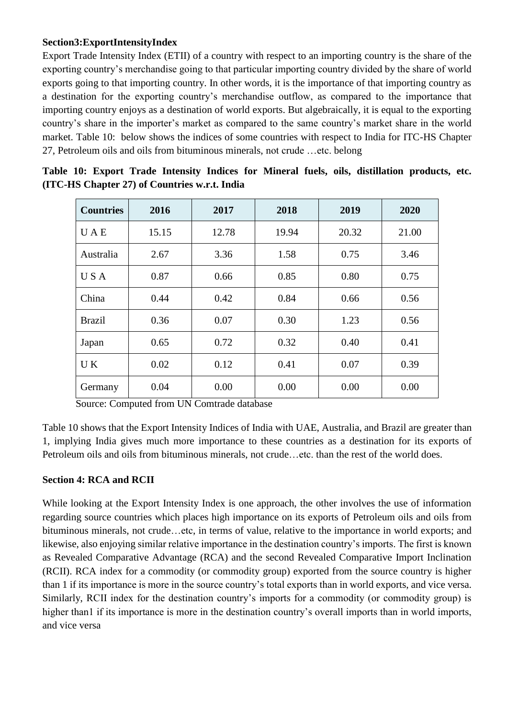#### **Section3:ExportIntensityIndex**

Export Trade Intensity Index (ETII) of a country with respect to an importing country is the share of the exporting country's merchandise going to that particular importing country divided by the share of world exports going to that importing country. In other words, it is the importance of that importing country as a destination for the exporting country's merchandise outflow, as compared to the importance that importing country enjoys as a destination of world exports. But algebraically, it is equal to the exporting country's share in the importer's market as compared to the same country's market share in the world market. Table 10: below shows the indices of some countries with respect to India for ITC-HS Chapter 27, Petroleum oils and oils from bituminous minerals, not crude …etc. belong

| <b>Countries</b> | 2016<br>2017 |       | 2018  | 2019  | 2020  |
|------------------|--------------|-------|-------|-------|-------|
| <b>UAE</b>       | 15.15        | 12.78 | 19.94 | 20.32 | 21.00 |
| Australia        | 2.67         | 3.36  | 1.58  | 0.75  | 3.46  |
| U S A            | 0.87         | 0.66  | 0.85  | 0.80  | 0.75  |
| China            | 0.44         | 0.42  | 0.84  | 0.66  | 0.56  |
| <b>Brazil</b>    | 0.36         | 0.07  | 0.30  | 1.23  | 0.56  |
| Japan            | 0.65         | 0.72  | 0.32  | 0.40  | 0.41  |
| UK               | 0.02         | 0.12  | 0.41  | 0.07  | 0.39  |
| Germany          | 0.04         | 0.00  | 0.00  | 0.00  | 0.00  |

|  |  |                                               |  |  | Table 10: Export Trade Intensity Indices for Mineral fuels, oils, distillation products, etc. |  |
|--|--|-----------------------------------------------|--|--|-----------------------------------------------------------------------------------------------|--|
|  |  | (ITC-HS Chapter 27) of Countries w.r.t. India |  |  |                                                                                               |  |

Source: Computed from UN Comtrade database

Table 10 shows that the Export Intensity Indices of India with UAE, Australia, and Brazil are greater than 1, implying India gives much more importance to these countries as a destination for its exports of Petroleum oils and oils from bituminous minerals, not crude…etc. than the rest of the world does.

#### **Section 4: RCA and RCII**

While looking at the Export Intensity Index is one approach, the other involves the use of information regarding source countries which places high importance on its exports of Petroleum oils and oils from bituminous minerals, not crude…etc, in terms of value, relative to the importance in world exports; and likewise, also enjoying similar relative importance in the destination country's imports. The first is known as Revealed Comparative Advantage (RCA) and the second Revealed Comparative Import Inclination (RCII). RCA index for a commodity (or commodity group) exported from the source country is higher than 1 if its importance is more in the source country's total exports than in world exports, and vice versa. Similarly, RCII index for the destination country's imports for a commodity (or commodity group) is higher than1 if its importance is more in the destination country's overall imports than in world imports, and vice versa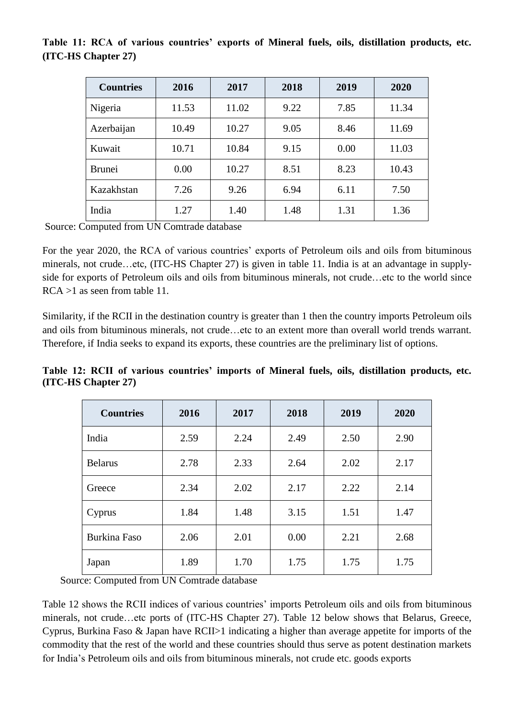#### **Table 11: RCA of various countries' exports of Mineral fuels, oils, distillation products, etc. (ITC-HS Chapter 27)**

| <b>Countries</b> | 2016  | 2017  | 2018 | 2019 | 2020  |
|------------------|-------|-------|------|------|-------|
| Nigeria          | 11.53 | 11.02 | 9.22 | 7.85 | 11.34 |
| Azerbaijan       | 10.49 | 10.27 | 9.05 | 8.46 | 11.69 |
| Kuwait           | 10.71 | 10.84 | 9.15 | 0.00 | 11.03 |
| <b>Brunei</b>    | 0.00  | 10.27 | 8.51 | 8.23 | 10.43 |
| Kazakhstan       | 7.26  | 9.26  | 6.94 | 6.11 | 7.50  |
| India            | 1.27  | 1.40  | 1.48 | 1.31 | 1.36  |

Source: Computed from UN Comtrade database

For the year 2020, the RCA of various countries' exports of Petroleum oils and oils from bituminous minerals, not crude…etc, (ITC-HS Chapter 27) is given in table 11. India is at an advantage in supplyside for exports of Petroleum oils and oils from bituminous minerals, not crude…etc to the world since RCA >1 as seen from table 11.

Similarity, if the RCII in the destination country is greater than 1 then the country imports Petroleum oils and oils from bituminous minerals, not crude…etc to an extent more than overall world trends warrant. Therefore, if India seeks to expand its exports, these countries are the preliminary list of options.

**Table 12: RCII of various countries' imports of Mineral fuels, oils, distillation products, etc. (ITC-HS Chapter 27)**

| <b>Countries</b>    | 2016 | 2017 | 2018 | 2019 | 2020 |
|---------------------|------|------|------|------|------|
| India               | 2.59 | 2.24 | 2.49 | 2.50 | 2.90 |
| <b>Belarus</b>      | 2.78 | 2.33 | 2.64 | 2.02 | 2.17 |
| Greece              | 2.34 | 2.02 | 2.17 | 2.22 | 2.14 |
| Cyprus              | 1.84 | 1.48 | 3.15 | 1.51 | 1.47 |
| <b>Burkina Faso</b> | 2.06 | 2.01 | 0.00 | 2.21 | 2.68 |
| Japan               | 1.89 | 1.70 | 1.75 | 1.75 | 1.75 |

Source: Computed from UN Comtrade database

Table 12 shows the RCII indices of various countries' imports Petroleum oils and oils from bituminous minerals, not crude…etc ports of (ITC-HS Chapter 27). Table 12 below shows that Belarus, Greece, Cyprus, Burkina Faso & Japan have RCII>1 indicating a higher than average appetite for imports of the commodity that the rest of the world and these countries should thus serve as potent destination markets for India's Petroleum oils and oils from bituminous minerals, not crude etc. goods exports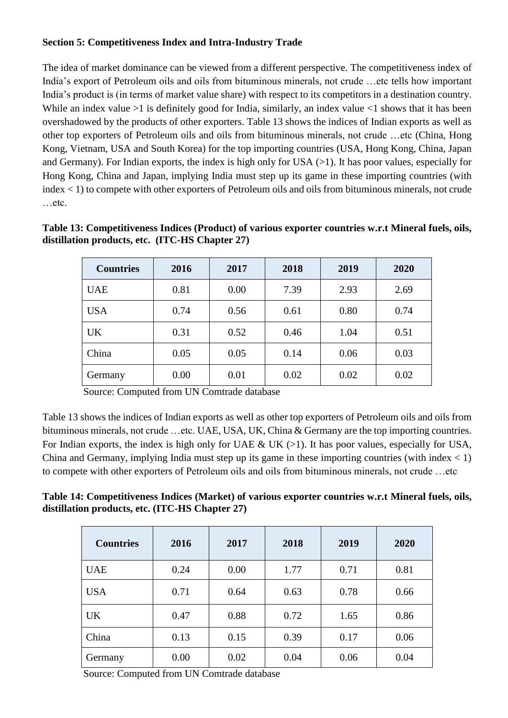#### **Section 5: Competitiveness Index and Intra-Industry Trade**

The idea of market dominance can be viewed from a different perspective. The competitiveness index of India's export of Petroleum oils and oils from bituminous minerals, not crude …etc tells how important India's product is (in terms of market value share) with respect to its competitors in a destination country. While an index value  $>1$  is definitely good for India, similarly, an index value  $<1$  shows that it has been overshadowed by the products of other exporters. Table 13 shows the indices of Indian exports as well as other top exporters of Petroleum oils and oils from bituminous minerals, not crude …etc (China, Hong Kong, Vietnam, USA and South Korea) for the top importing countries (USA, Hong Kong, China, Japan and Germany). For Indian exports, the index is high only for USA (>1). It has poor values, especially for Hong Kong, China and Japan, implying India must step up its game in these importing countries (with index < 1) to compete with other exporters of Petroleum oils and oils from bituminous minerals, not crude …etc.

| <b>Countries</b> | 2016 | 2017 | 2018 | 2019 | 2020 |
|------------------|------|------|------|------|------|
| <b>UAE</b>       | 0.81 | 0.00 | 7.39 | 2.93 | 2.69 |
| <b>USA</b>       | 0.74 | 0.56 | 0.61 | 0.80 | 0.74 |
| <b>UK</b>        | 0.31 | 0.52 | 0.46 | 1.04 | 0.51 |
| China            | 0.05 | 0.05 | 0.14 | 0.06 | 0.03 |
| Germany          | 0.00 | 0.01 | 0.02 | 0.02 | 0.02 |

**Table 13: Competitiveness Indices (Product) of various exporter countries w.r.t Mineral fuels, oils, distillation products, etc. (ITC-HS Chapter 27)**

Source: Computed from UN Comtrade database

Table 13 shows the indices of Indian exports as well as other top exporters of Petroleum oils and oils from bituminous minerals, not crude …etc. UAE, USA, UK, China & Germany are the top importing countries. For Indian exports, the index is high only for UAE & UK  $(>1)$ . It has poor values, especially for USA, China and Germany, implying India must step up its game in these importing countries (with index  $\langle 1 \rangle$ ) to compete with other exporters of Petroleum oils and oils from bituminous minerals, not crude …etc

**Table 14: Competitiveness Indices (Market) of various exporter countries w.r.t Mineral fuels, oils, distillation products, etc. (ITC-HS Chapter 27)**

| <b>Countries</b>   | 2016 | 2017 | 2018 | 2019 | 2020 |
|--------------------|------|------|------|------|------|
| <b>UAE</b><br>0.24 |      | 0.00 | 1.77 | 0.71 | 0.81 |
| <b>USA</b>         | 0.71 | 0.64 | 0.63 | 0.78 | 0.66 |
| <b>UK</b>          | 0.47 | 0.88 | 0.72 | 1.65 | 0.86 |
| China              | 0.13 | 0.15 | 0.39 | 0.17 | 0.06 |
| Germany            | 0.00 | 0.02 | 0.04 | 0.06 | 0.04 |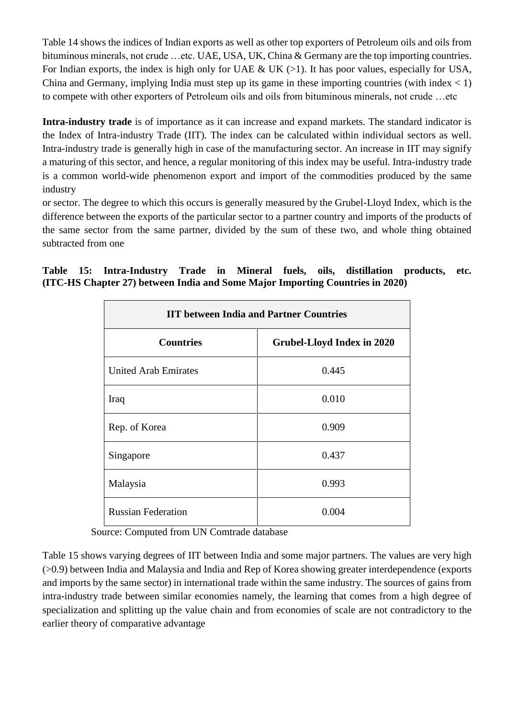Table 14 shows the indices of Indian exports as well as other top exporters of Petroleum oils and oils from bituminous minerals, not crude …etc. UAE, USA, UK, China & Germany are the top importing countries. For Indian exports, the index is high only for UAE & UK  $(>1)$ . It has poor values, especially for USA, China and Germany, implying India must step up its game in these importing countries (with index  $\langle 1 \rangle$ ) to compete with other exporters of Petroleum oils and oils from bituminous minerals, not crude …etc

**Intra-industry trade** is of importance as it can increase and expand markets. The standard indicator is the Index of Intra-industry Trade (IIT). The index can be calculated within individual sectors as well. Intra-industry trade is generally high in case of the manufacturing sector. An increase in IIT may signify a maturing of this sector, and hence, a regular monitoring of this index may be useful. Intra-industry trade is a common world-wide phenomenon export and import of the commodities produced by the same industry

or sector. The degree to which this occurs is generally measured by the Grubel-Lloyd Index, which is the difference between the exports of the particular sector to a partner country and imports of the products of the same sector from the same partner, divided by the sum of these two, and whole thing obtained subtracted from one

|  | Table 15: Intra-Industry Trade in Mineral fuels, oils, distillation products, etc. |  |  |  |  |
|--|------------------------------------------------------------------------------------|--|--|--|--|
|  | (ITC-HS Chapter 27) between India and Some Major Importing Countries in 2020)      |  |  |  |  |

| <b>IIT between India and Partner Countries</b> |                                   |  |  |  |  |  |
|------------------------------------------------|-----------------------------------|--|--|--|--|--|
| <b>Countries</b>                               | <b>Grubel-Lloyd Index in 2020</b> |  |  |  |  |  |
| <b>United Arab Emirates</b>                    | 0.445                             |  |  |  |  |  |
| Iraq                                           | 0.010                             |  |  |  |  |  |
| Rep. of Korea                                  | 0.909                             |  |  |  |  |  |
| Singapore                                      | 0.437                             |  |  |  |  |  |
| Malaysia                                       | 0.993                             |  |  |  |  |  |
| <b>Russian Federation</b>                      | 0.004                             |  |  |  |  |  |

Source: Computed from UN Comtrade database

Table 15 shows varying degrees of IIT between India and some major partners. The values are very high (>0.9) between India and Malaysia and India and Rep of Korea showing greater interdependence (exports and imports by the same sector) in international trade within the same industry. The sources of gains from intra-industry trade between similar economies namely, the learning that comes from a high degree of specialization and splitting up the value chain and from economies of scale are not contradictory to the earlier theory of comparative advantage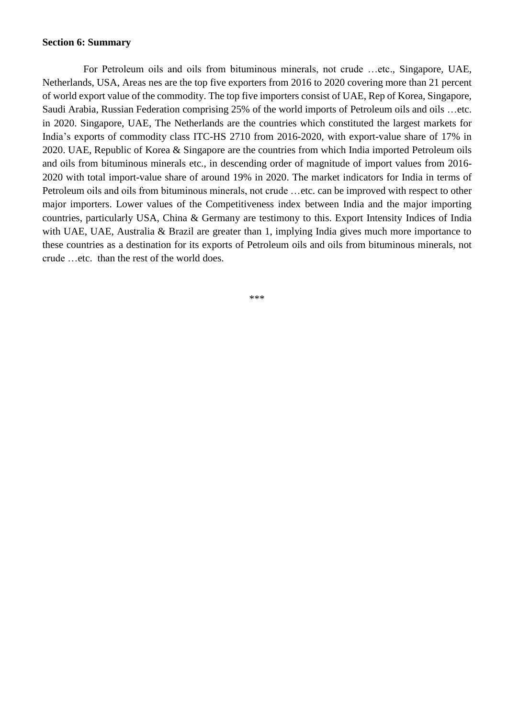#### **Section 6: Summary**

 For Petroleum oils and oils from bituminous minerals, not crude …etc., Singapore, UAE, Netherlands, USA, Areas nes are the top five exporters from 2016 to 2020 covering more than 21 percent of world export value of the commodity. The top five importers consist of UAE, Rep of Korea, Singapore, Saudi Arabia, Russian Federation comprising 25% of the world imports of Petroleum oils and oils …etc. in 2020. Singapore, UAE, The Netherlands are the countries which constituted the largest markets for India's exports of commodity class ITC-HS 2710 from 2016-2020, with export-value share of 17% in 2020. UAE, Republic of Korea & Singapore are the countries from which India imported Petroleum oils and oils from bituminous minerals etc., in descending order of magnitude of import values from 2016- 2020 with total import-value share of around 19% in 2020. The market indicators for India in terms of Petroleum oils and oils from bituminous minerals, not crude …etc. can be improved with respect to other major importers. Lower values of the Competitiveness index between India and the major importing countries, particularly USA, China & Germany are testimony to this. Export Intensity Indices of India with UAE, UAE, Australia & Brazil are greater than 1, implying India gives much more importance to these countries as a destination for its exports of Petroleum oils and oils from bituminous minerals, not crude …etc. than the rest of the world does.

\*\*\*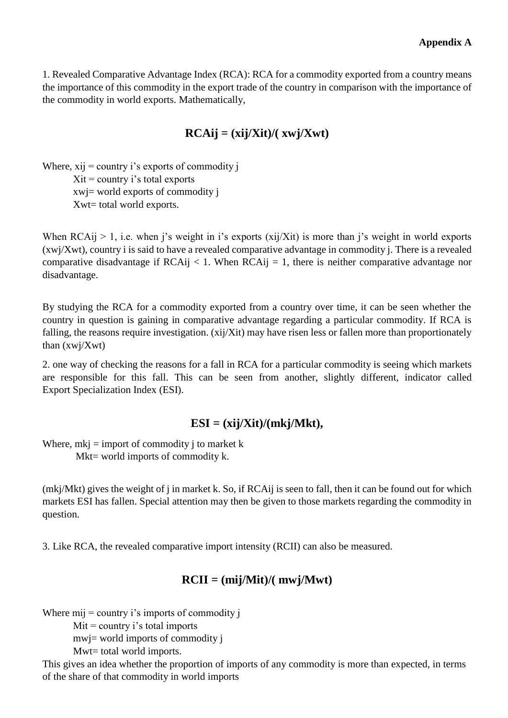1. Revealed Comparative Advantage Index (RCA): RCA for a commodity exported from a country means the importance of this commodity in the export trade of the country in comparison with the importance of the commodity in world exports. Mathematically,

# $RCAij = (xij/Xit)/(xwij/Xwt)$

Where,  $xij =$  country i's exports of commodity j  $Xit = country$  i's total exports xwj= world exports of commodity j Xwt= total world exports.

When  $RCAij > 1$ , i.e. when j's weight in i's exports (xij/Xit) is more than j's weight in world exports (xwj/Xwt), country i is said to have a revealed comparative advantage in commodity j. There is a revealed comparative disadvantage if  $RCAij < 1$ . When  $RCAij = 1$ , there is neither comparative advantage nor disadvantage.

By studying the RCA for a commodity exported from a country over time, it can be seen whether the country in question is gaining in comparative advantage regarding a particular commodity. If RCA is falling, the reasons require investigation. (xij/Xit) may have risen less or fallen more than proportionately than (xwj/Xwt)

2. one way of checking the reasons for a fall in RCA for a particular commodity is seeing which markets are responsible for this fall. This can be seen from another, slightly different, indicator called Export Specialization Index (ESI).

### **ESI = (xij/Xit)/(mkj/Mkt),**

Where,  $mki = import of commodity j to market k$ Mkt= world imports of commodity k.

(mkj/Mkt) gives the weight of j in market k. So, if RCAij is seen to fall, then it can be found out for which markets ESI has fallen. Special attention may then be given to those markets regarding the commodity in question.

3. Like RCA, the revealed comparative import intensity (RCII) can also be measured.

# **RCII = (mij/Mit)/( mwj/Mwt)**

Where  $mij =$  country i's imports of commodity j

 $Mit = country i's total imports$ 

mwj= world imports of commodity j

Mwt= total world imports.

This gives an idea whether the proportion of imports of any commodity is more than expected, in terms of the share of that commodity in world imports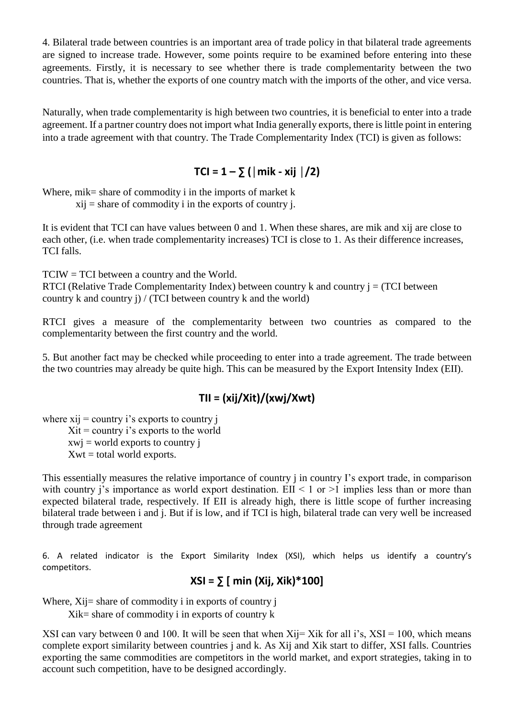4. Bilateral trade between countries is an important area of trade policy in that bilateral trade agreements are signed to increase trade. However, some points require to be examined before entering into these agreements. Firstly, it is necessary to see whether there is trade complementarity between the two countries. That is, whether the exports of one country match with the imports of the other, and vice versa.

Naturally, when trade complementarity is high between two countries, it is beneficial to enter into a trade agreement. If a partner country does not import what India generally exports, there is little point in entering into a trade agreement with that country. The Trade Complementarity Index (TCI) is given as follows:

### $TCI = 1 - \sum (|\text{mik} - \text{xij}|)/2$

Where, mik= share of commodity i in the imports of market  $k$  $xii$  = share of commodity i in the exports of country j.

It is evident that TCI can have values between 0 and 1. When these shares, are mik and xij are close to

each other, (i.e. when trade complementarity increases) TCI is close to 1. As their difference increases, TCI falls.

TCIW = TCI between a country and the World. RTCI (Relative Trade Complementarity Index) between country k and country  $i = (TCI)$  between country k and country j) / (TCI between country k and the world)

RTCI gives a measure of the complementarity between two countries as compared to the complementarity between the first country and the world.

5. But another fact may be checked while proceeding to enter into a trade agreement. The trade between the two countries may already be quite high. This can be measured by the Export Intensity Index (EII).

### **TII = (xij/Xit)/(xwj/Xwt)**

where  $xii =$  country i's exports to country j  $Xit = country$  i's exports to the world  $xwi = world$  exports to country j  $Xwt = total$  world exports.

This essentially measures the relative importance of country j in country I's export trade, in comparison with country j's importance as world export destination. EII  $\leq 1$  or  $\geq 1$  implies less than or more than expected bilateral trade, respectively. If EII is already high, there is little scope of further increasing bilateral trade between i and j. But if is low, and if TCI is high, bilateral trade can very well be increased through trade agreement

6. A related indicator is the Export Similarity Index (XSI), which helps us identify a country's competitors.

### **XSI = ∑ [ min (Xij, Xik)\*100]**

Where,  $X_i$  i= share of commodity i in exports of country i

Xik= share of commodity i in exports of country k

XSI can vary between 0 and 100. It will be seen that when  $X_{ij}= X_{ik}$  for all i's,  $X_{i}= 100$ , which means complete export similarity between countries j and k. As Xij and Xik start to differ, XSI falls. Countries exporting the same commodities are competitors in the world market, and export strategies, taking in to account such competition, have to be designed accordingly.